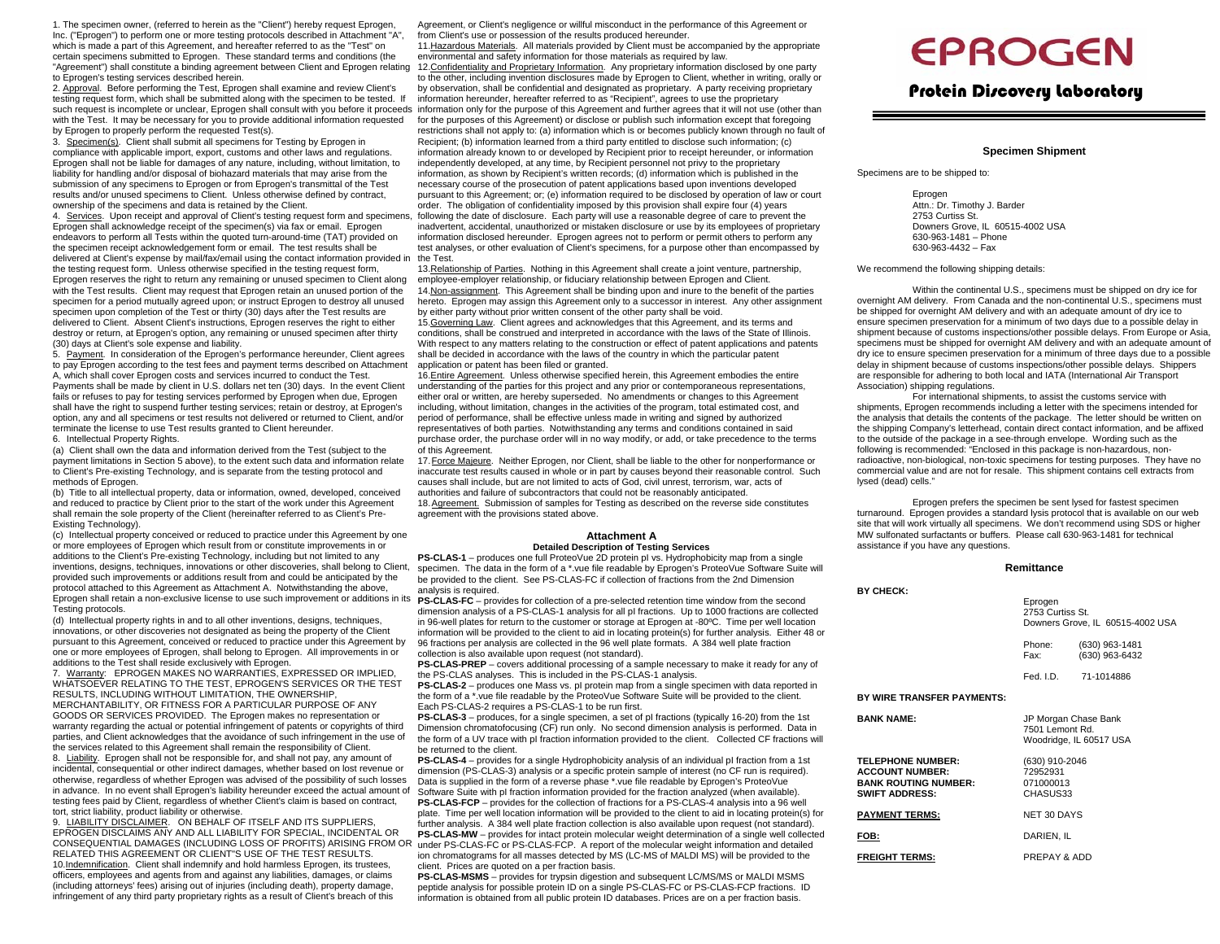1. The specimen owner, (referred to herein as the "Client") hereby request Eprogen, Inc. ("Eprogen") to perform one or more testing protocols described in Attachment "A", which is made a part of this Agreement, and hereafter referred to as the "Test" on certain specimens submitted to Eprogen. These standard terms and conditions (the "Agreement") shall constitute a binding agreement between Client and Eprogen relating to Eprogen's testing services described herein.

2. Approval. Before performing the Test, Eprogen shall examine and review Client's testing request form, which shall be submitted along with the specimen to be tested. If with the Test. It may be necessary for you to provide additional information requested by Eprogen to properly perform the requested Test(s).

3. Specimen(s). Client shall submit all specimens for Testing by Eprogen in compliance with applicable import, export, customs and other laws and regulations. Eprogen shall not be liable for damages of any nature, including, without limitation, to liability for handling and/or disposal of biohazard materials that may arise from the submission of any specimens to Eprogen or from Eprogen's transmittal of the Test results and/or unused specimens to Client. Unless otherwise defined by contract, ownership of the specimens and data is retained by the Client.

Eprogen shall acknowledge receipt of the specimen(s) via fax or email. Eprogen endeavors to perform all Tests within the quoted turn-around-time (TAT) provided on the specimen receipt acknowledgement form or email. The test results shall be delivered at Client's expense by mail/fax/email using the contact information provided in the testing request form. Unless otherwise specified in the testing request form, Eprogen reserves the right to return any remaining or unused specimen to Client along with the Test results. Client may request that Eprogen retain an unused portion of the specimen for a period mutually agreed upon; or instruct Eprogen to destroy all unused specimen upon completion of the Test or thirty (30) days after the Test results are delivered to Client. Absent Client's instructions, Eprogen reserves the right to either destroy or return, at Eprogen's option, any remaining or unused specimen after thirty (30) days at Client's sole expense and liability.

5. Payment. In consideration of the Eprogen's performance hereunder, Client agrees to pay Eprogen according to the test fees and payment terms described on Attachment A, which shall cover Eprogen costs and services incurred to conduct the Test. Payments shall be made by client in U.S. dollars net ten (30) days. In the event Client fails or refuses to pay for testing services performed by Eprogen when due, Eprogen shall have the right to suspend further testing services; retain or destroy, at Eprogen's option, any and all specimens or test results not delivered or returned to Client, and/or terminate the license to use Test results granted to Client hereunder.

6. Intellectual Property Rights.

(a) Client shall own the data and information derived from the Test (subject to the payment limitations in Section 5 above), to the extent such data and information relate to Client's Pre-existing Technology, and is separate from the testing protocol and methods of Eprogen.

(b) Title to all intellectual property, data or information, owned, developed, conceived and reduced to practice by Client prior to the start of the work under this Agreement shall remain the sole property of the Client (hereinafter referred to as Client's Pre-Existing Technology).

(c) Intellectual property conceived or reduced to practice under this Agreement by one or more employees of Eprogen which result from or constitute improvements in or additions to the Client's Pre-existing Technology, including but not limited to any inventions, designs, techniques, innovations or other discoveries, shall belong to Client, provided such improvements or additions result from and could be anticipated by the protocol attached to this Agreement as Attachment A. Notwithstanding the above, Eprogen shall retain a non-exclusive license to use such improvement or additions in its Testing protocols.

(d) Intellectual property rights in and to all other inventions, designs, techniques, innovations, or other discoveries not designated as being the property of the Client pursuant to this Agreement, conceived or reduced to practice under this Agreement by one or more employees of Eprogen, shall belong to Eprogen. All improvements in or additions to the Test shall reside exclusively with Eprogen.

7. Warranty: EPROGEN MAKES NO WARRANTIES, EXPRESSED OR IMPLIED, WHATSOEVER RELATING TO THE TEST, EPROGEN'S SERVICES OR THE TEST RESULTS, INCLUDING WITHOUT LIMITATION, THE O WNERSHIP, MERCHANTABILITY, OR FITNESS FOR A PARTICULAR PURPOSE OF ANY GOODS OR SERVICES PROVIDED. The Eprogen makes no representation or warranty regarding the actual or potential infringement of patents or copyrights of third parties, and Client acknowledges that the avoidance of such infringement in the use of the services related to this Agreement shall remain the responsibility of Client.

8. <u>Liability</u>. Eprogen shall not be responsible for, and shall not pay, any amount of incidental, consequential or other indirect damages, whether based on lost revenue or otherwise, regardless of whether Eprogen was advised of the possibility of such losses in advance. In no event shall Eprogen's liability hereunder exceed the actual amount of testing fees paid by Client, regardless of whether Client's claim is based on contract, tort, strict liability, product liability or otherwise.

9. <u>LIABILITY DISCLAIMER</u>. ON BEHALF OF ITSELF AND ITS SUPPLIERS, EPROGEN DISCLAIMS ANY AND ALL LIABILITY FOR SPECIAL, INCIDENTAL OR RELATED THIS AGREEMENT OR CLIENT"S USE OF THE TEST RESULTS. 10.Indemnification. Client shall indemnify and hold harmless Eprogen, its trustees, officers, employees and agents from and against any liabilities, damages, or claims (including attorneys' fees) arising out of injuries (including death), property damage, infringement of any third party proprietary rights as a result of Client's breach of this

Agreement, or Client's negligence or willful misconduct in the performance of this Agreement or from Client's use or possession of the results produced hereunder.

11.Hazardous Materials. All materials provided by Client must be accompanied by the appropriate environmental and safety information for those materials as required by law.

such request is incomplete or unclear, Eprogen shall consult with you before it proceeds information only for the purpose of this Agreement and further agrees that it will not use (other than 4. Services. Upon receipt and approval of Client's testing request form and specimens, following the date of disclosure. Each party will use a reasonable degree of care to prevent the 12. Confidentiality and Proprietary Information. Any proprietary information disclosed by one party to the other, including invention disclosures made by Eprogen to Client, whether in writing, orally or by observation, shall be confidential and designated as proprietary. A party receiving proprietary information hereunder, hereafter referred to as "Recipient", agrees to use the proprietary for the purposes of this Agreement) or disclose or publish such information except that foregoing restrictions shall not apply to: (a) information which is or becomes publicly known through no fault of Recipient; (b) information learned from a third party entitled to disclose such information; (c) information already known to or developed by Recipient prior to receipt hereunder, or information independently developed, at any time, by Recipient personnel not privy to the proprietary information, as shown by Recipient's written records; (d) information which is published in the necessary course of the prosecution of patent applications based upon inventions developed pursuant to this Agreement; or; (e) information required to be disclosed by operation of law or court order. The obligation of confidentiality imposed by this provision shall expire four (4) years inadvertent, accidental, unauthorized or mistaken disclosure or use by its employees of proprietary information disclosed hereunder. Eprogen agrees not to perform or permit others to perform any test analyses, or other evaluation of Client's specimens, for a purpose other than encompassed by the Test.

> 13. Relationship of Parties. Nothing in this Agreement shall create a joint venture, partnership, employee-employer relationship, or fiduciary relationship between Eprogen and Client. 14.Non-assignment. This Agreement shall be binding upon and inure to the benefit of the parties hereto. Eprogen may assign this Agreement only to a successor in interest. Any other assignment by either party without prior written consent of the other party shall be void.

> 15.Governing Law. Client agrees and acknowledges that this Agreement, and its terms and conditions, shall be construed and interpreted in accordance with the laws of the State of Illinois. With respect to any matters relating to the construction or effect of patent applications and patents shall be decided in accordance with the laws of the country in which the particular patent application or patent has been filed or granted.

> 16.Entire Agreement. Unless otherwise specified herein, this Agreement embodies the entire understanding of the parties for this project and any prior or contemporaneous representations, either oral or written, are hereby superseded. No amendments or changes to this Agreement including, without limitation, changes in the activities of the program, total estimated cost, and period of performance, shall be effective unless made in writing and signed by authorized representatives of both parties. Notwithstanding any terms and conditions contained in said purchase order, the purchase order will in no way modify, or add, or take precedence to the terms of this Agreement.

> 17.Force Majeure. Neither Eprogen, nor Client, shall be liable to the other for nonperformance or inaccurate test results caused in whole or in part by causes beyond their reasonable control. Such causes shall include, but are not limited to acts of God, civil unrest, terrorism, war, acts of authorities and failure of subcontractors that could not be reasonably anticipated.

18.Agreement. Submission of samples for Testing as described on the reverse side constitutes agreement with the provisions stated above.

#### **Attachment A Detailed Description of Testing Services**

**PS-CLAS-1** – produces one full ProteoVue 2D protein pI vs. Hydrophobicity map from a single specimen. The data in the form of a \*.vue file readable by Eprogen's ProteoVue Software Suite will be provided to the client. See PS-CLAS-FC if collection of fractions from the 2nd Dimension analysis is required.

**PS-CLAS-FC** – provides for collection of a pre-selected retention time window from the second dimension analysis of a PS-CLAS-1 analysis for all pI fractions. Up to 1000 fractions are collected in 96-well plates for return to the customer or storage at Eprogen at -80ºC. Time per well location information will be provided to the client to aid in locating protein(s) for further analysis. Either 48 or 96 fractions per analysis are collected in the 96 well plate formats. A 384 well plate fraction collection is also available upon request (not standard).

**PS-CLAS-PREP** – covers additional processing of a sample necessary to make it ready for any of the PS-CLAS analyses. This is included in the PS-CLAS-1 analysis.

**PS-CLAS-2** – produces one Mass vs. pI protein map from a single specimen with data reported in the form of <sup>a</sup>\*.vue file readable by the ProteoVue Software Suite will be provided to the client. Each PS-CLAS-2 requires a PS-CLAS-1 to be run first.

**PS-CLAS-3** – produces, for a single specimen, a set of pI fractions (typically 16-20) from the 1st Dimension chromatofocusing (CF) run only. No second dimension analysis is performed. Data in the form of a UV trace with pI fraction information provided to the client. Collected CF fractions will be returned to the client.

CONSEQUENTIAL DAMAGES (INCLUDING LOSS OF PROFITS) ARISING FROM OR under PS-CLAS-FC or PS-CLAS-FCP. A report of the molecular weight information and detailed **PS-CLAS-4** – provides for a single Hydrophobicity analysis of an individual pI fraction from a 1st dimension (PS-CLAS-3) analysis or a specific protein sample of interest (no CF run is required). Data is supplied in the form of a reverse phase \*.vue file readable by Eprogen's ProteoVue Software Suite with pI fraction information provided for the fraction analyzed (when available). **PS-CLAS-FCP** – provides for the collection of fractions for a PS-CLAS-4 analysis into a 96 well plate. Time per well location information will be provided to the client to aid in locating protein(s) for further analysis. A 384 well plate fraction collection is also available upon request (not standard). **PS-CLAS-MW** – provides for intact protein molecular weight determination of a single well collected ion chromatograms for all masses detected by MS (LC-MS of MALDI MS) will be provided to the client. Prices are quoted on a per fraction basis.

> **PS-CLAS-MSMS** – provides for trypsin digestion and subsequent LC/MS/MS or MALDI MSMS peptide analysis for possible protein ID on a single PS-CLAS-FC or PS-CLAS-FCP fractions. ID information is obtained from all public protein ID databases. Prices are on a per fraction basis.

# **EPROGEN**

### Protein Discovery Laboratory

#### **Specimen Shipment**

Specimens are to be shipped to:

**BY CHECK:**

**BANK NAME:**

**SWIFT ADDRESS:**

 Eprogen Attn.: Dr. Timothy J. Barder 2753 Curtiss St. Downers Grove, IL 60515-4002 USA 630-963-1481 – Phone630-963-4432 – Fax

We recommend the following shipping details:

Within the continental U.S., specimens must be shipped on dry ice for overnight AM delivery. From Canada and the non-continental U.S., specimens must be shipped for overnight AM delivery and with an adequate amount of dry ice to ensure specimen preservation for a minimum of two days due to a possible delay in shipment because of customs inspections/other possible delays. From Europe or Asia, specimens must be shipped for overnight AM delivery and with an adequate amount of dry ice to ensure specimen preservation for a minimum of three days due to a possible delay in shipment because of customs inspections/other possible delays. Shippers are responsible for adhering to both local and IATA (International Air Transport Association) shipping regulations.

For international shipments, to assist the customs service with shipments, Eprogen recommends including a letter with the specimens intended for the analysis that details the contents of the package. The letter should be written on the shipping Company's letterhead, contain direct contact information, and be affixed to the outside of the package in a see-through envelope. Wording such as the following is recommended: "Enclosed in this package is non-hazardous, nonradioactive, non-biological, non-toxic specimens for testing purposes. They have no commercial value and are not for resale. This shipment contains cell extracts from lysed (dead) cells."

Eprogen prefers the specimen be sent lysed for fastest specimen turnaround. Eprogen provides a standard lysis protocol that is available on our web site that will work virtually all specimens. We don't recommend using SDS or higher MW sulfonated surfactants or buffers. Please call 630-963-1481 for technical assistance if you have any questions.

#### **Remittance**  Eprogen 2753 Curtiss St. Downers Grove, IL 60515-4002 USA Phone: (630) 963-1481 Fax: (630) 963-6432 Fed. I.D. 71-1014886 **BY WIRE TRANSFER PAYMENTS:** JP Morgan Chase Bank 7501 Lemont Rd. Woodridge, IL 60517 USA **TELEPHONE NUMBER:** (630) 910-2046 **ACCOUNT NUMBER:** 72952931 **BANK ROUTING NUMBER:** 071000013 : CHASUS33

**PAYMENT TERMS:** NET 30 DAYS**FOB:** DARIEN, IL **FREIGHT TERMS:**PREPAY & ADD